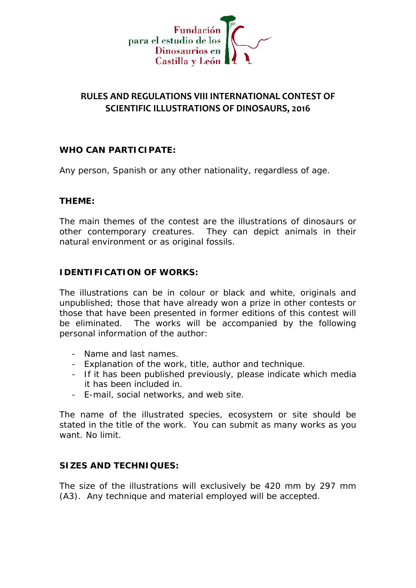

## **RULES AND REGULATIONS VIII INTERNATIONAL CONTEST OF SCIENTIFIC ILLUSTRATIONS OF DINOSAURS, 2016**

**WHO CAN PARTICIPATE:**

Any person, Spanish or any other nationality, regardless of age.

**THEME:**

The main themes of the contest are the illustrations of dinosaurs or other contemporary creatures. They can depict animals in their natural environment or as original fossils.

**IDENTIFICATION OF WORKS:**

The illustrations can be in colour or black and white, originals and unpublished; those that have already won a prize in other contests or those that have been presented in former editions of this contest will be eliminated. The works will be accompanied by the following personal information of the author:

- Name and last names.
- Explanation of the work, title, author and technique.
- If it has been published previously, please indicate which media it has been included in.
- E-mail, social networks, and web site.

The name of the illustrated species, ecosystem or site should be stated in the title of the work. You can submit as many works as you want. No limit.

**SIZES AND TECHNIQUES:**

The size of the illustrations will exclusively be 420 mm by 297 mm (A3). Any technique and material employed will be accepted.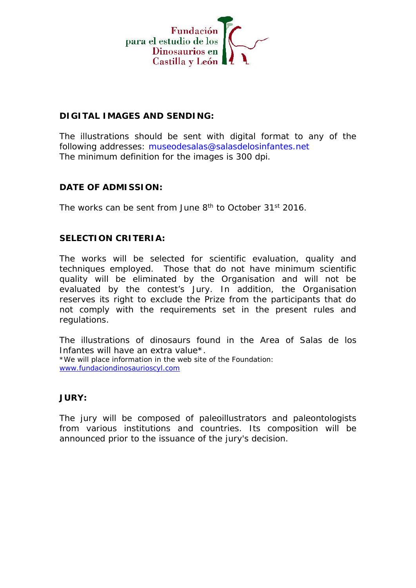

## **DIGITAL IMAGES AND SENDING:**

The illustrations should be sent with digital format to any of the following addresses: museodesalas@salasdelosinfantes.net The minimum definition for the images is 300 dpi.

**DATE OF ADMISSION:**

The works can be sent from June 8<sup>th</sup> to October 31st 2016.

**SELECTION CRITERIA:**

The works will be selected for scientific evaluation, quality and techniques employed. Those that do not have minimum scientific quality will be eliminated by the Organisation and will not be evaluated by the contest's Jury. In addition, the Organisation reserves its right to exclude the Prize from the participants that do not comply with the requirements set in the present rules and regulations.

The illustrations of dinosaurs found in the Area of Salas de los Infantes will have an extra value\*. \*We will place information in the web site of the Foundation: www.fundaciondinosaurioscyl.com

**JURY:**

The jury will be composed of paleoillustrators and paleontologists from various institutions and countries. Its composition will be announced prior to the issuance of the jury's decision.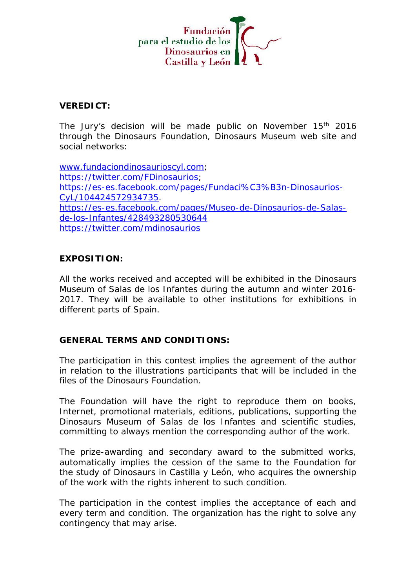

**VEREDICT:**

The Jury's decision will be made public on November 15<sup>th</sup> 2016 through the Dinosaurs Foundation, Dinosaurs Museum web site and social networks:

www.fundaciondinosaurioscyl.com; https://twitter.com/FDinosaurios; https://es-es.facebook.com/pages/Fundaci%C3%B3n-Dinosaurios- CyL/104424572934735. https://es-es.facebook.com/pages/Museo-de-Dinosaurios-de-Salas de-los-Infantes/428493280530644 https://twitter.com/mdinosaurios

**EXPOSITION:**

All the works received and accepted will be exhibited in the Dinosaurs Museum of Salas de los Infantes during the autumn and winter 2016- 2017. They will be available to other institutions for exhibitions in different parts of Spain.

**GENERAL TERMS AND CONDITIONS:**

The participation in this contest implies the agreement of the author in relation to the illustrations participants that will be included in the files of the Dinosaurs Foundation.

The Foundation will have the right to reproduce them on books, Internet, promotional materials, editions, publications, supporting the Dinosaurs Museum of Salas de los Infantes and scientific studies, committing to always mention the corresponding author of the work.

The prize-awarding and secondary award to the submitted works, automatically implies the cession of the same to the Foundation for the study of Dinosaurs in Castilla y León, who acquires the ownership of the work with the rights inherent to such condition.

The participation in the contest implies the acceptance of each and every term and condition. The organization has the right to solve any contingency that may arise.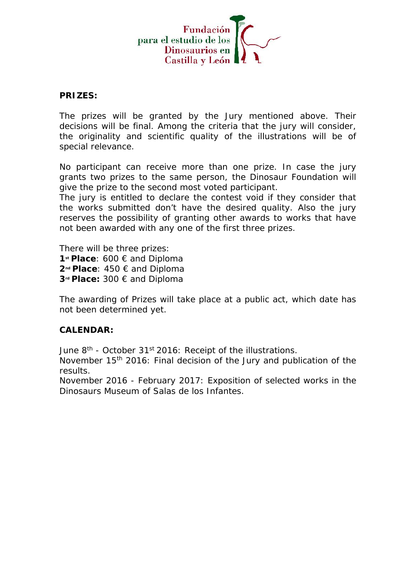

**PRIZES:**

The prizes will be granted by the Jury mentioned above. Their decisions will be final. Among the criteria that the jury will consider, the originality and scientific quality of the illustrations will be of special relevance.

No participant can receive more than one prize. In case the jury grants two prizes to the same person, the Dinosaur Foundation will give the prize to the second most voted participant.

The jury is entitled to declare the contest void if they consider that the works submitted don't have the desired quality. Also the jury reserves the possibility of granting other awards to works that have not been awarded with any one of the first three prizes.

There will be three prizes: **st Place**: 600 € and Diploma **nd Place**: 450 € and Diploma **rd Place:** 300 € and Diploma

The awarding of Prizes will take place at a public act, which date has not been determined yet.

## **CALENDAR:**

June 8<sup>th</sup> - October 31st 2016: Receipt of the illustrations.

November 15<sup>th</sup> 2016: Final decision of the Jury and publication of the results.

November 2016 - February 2017: Exposition of selected works in the Dinosaurs Museum of Salas de los Infantes.